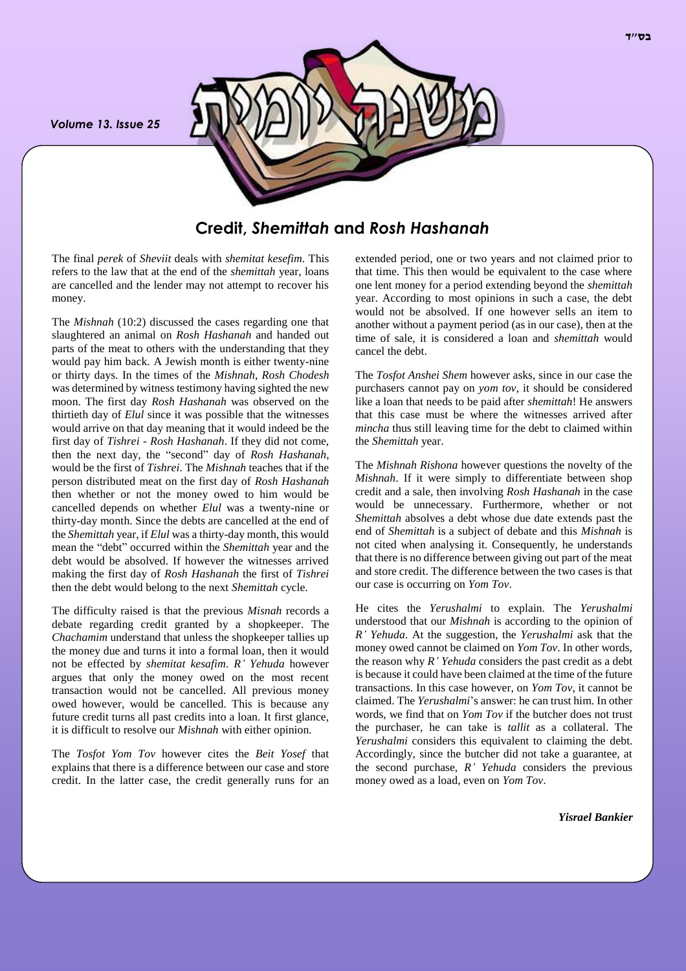*Volume 13. Issue 25*



## **Credit,** *Shemittah* **and** *Rosh Hashanah*

The final *perek* of *Sheviit* deals with *shemitat kesefim*. This refers to the law that at the end of the *shemittah* year, loans are cancelled and the lender may not attempt to recover his money.

The *Mishnah* (10:2) discussed the cases regarding one that slaughtered an animal on *Rosh Hashanah* and handed out parts of the meat to others with the understanding that they would pay him back. A Jewish month is either twenty-nine or thirty days. In the times of the *Mishnah*, *Rosh Chodesh* was determined by witness testimony having sighted the new moon. The first day *Rosh Hashanah* was observed on the thirtieth day of *Elul* since it was possible that the witnesses would arrive on that day meaning that it would indeed be the first day of *Tishrei* - *Rosh Hashanah*. If they did not come, then the next day, the "second" day of *Rosh Hashanah*, would be the first of *Tishrei*. The *Mishnah* teaches that if the person distributed meat on the first day of *Rosh Hashanah* then whether or not the money owed to him would be cancelled depends on whether *Elul* was a twenty-nine or thirty-day month. Since the debts are cancelled at the end of the *Shemittah* year, if *Elul* was a thirty-day month, this would mean the "debt" occurred within the *Shemittah* year and the debt would be absolved. If however the witnesses arrived making the first day of *Rosh Hashanah* the first of *Tishrei* then the debt would belong to the next *Shemittah* cycle.

The difficulty raised is that the previous *Misnah* records a debate regarding credit granted by a shopkeeper. The *Chachamim* understand that unless the shopkeeper tallies up the money due and turns it into a formal loan, then it would not be effected by *shemitat kesafim*. *R' Yehuda* however argues that only the money owed on the most recent transaction would not be cancelled. All previous money owed however, would be cancelled. This is because any future credit turns all past credits into a loan. It first glance, it is difficult to resolve our *Mishnah* with either opinion.

The *Tosfot Yom Tov* however cites the *Beit Yosef* that explains that there is a difference between our case and store credit. In the latter case, the credit generally runs for an

extended period, one or two years and not claimed prior to that time. This then would be equivalent to the case where one lent money for a period extending beyond the *shemittah* year. According to most opinions in such a case, the debt would not be absolved. If one however sells an item to another without a payment period (as in our case), then at the time of sale, it is considered a loan and *shemittah* would cancel the debt.

The *Tosfot Anshei Shem* however asks, since in our case the purchasers cannot pay on *yom tov*, it should be considered like a loan that needs to be paid after *shemittah*! He answers that this case must be where the witnesses arrived after *mincha* thus still leaving time for the debt to claimed within the *Shemittah* year.

The *Mishnah Rishona* however questions the novelty of the *Mishnah*. If it were simply to differentiate between shop credit and a sale, then involving *Rosh Hashanah* in the case would be unnecessary. Furthermore, whether or not *Shemittah* absolves a debt whose due date extends past the end of *Shemittah* is a subject of debate and this *Mishnah* is not cited when analysing it. Consequently, he understands that there is no difference between giving out part of the meat and store credit. The difference between the two cases is that our case is occurring on *Yom Tov*.

He cites the *Yerushalmi* to explain. The *Yerushalmi* understood that our *Mishnah* is according to the opinion of *R' Yehuda*. At the suggestion, the *Yerushalmi* ask that the money owed cannot be claimed on *Yom Tov*. In other words, the reason why *R' Yehuda* considers the past credit as a debt is because it could have been claimed at the time of the future transactions. In this case however, on *Yom Tov*, it cannot be claimed. The *Yerushalmi*'s answer: he can trust him. In other words, we find that on *Yom Tov* if the butcher does not trust the purchaser, he can take is *tallit* as a collateral. The *Yerushalmi* considers this equivalent to claiming the debt. Accordingly, since the butcher did not take a guarantee, at the second purchase, *R' Yehuda* considers the previous money owed as a load, even on *Yom Tov*.

*Yisrael Bankier*